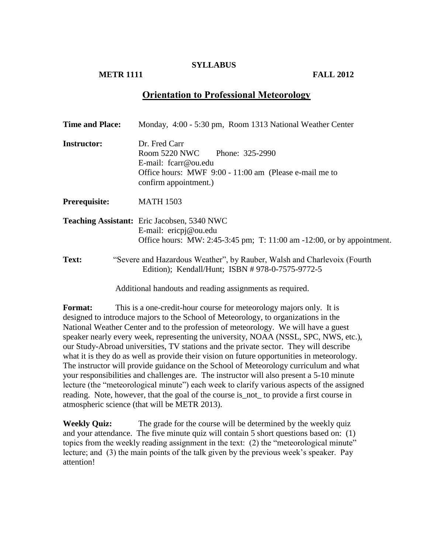#### **SYLLABUS**

## **METR 1111 FALL 2012**

# **Orientation to Professional Meteorology**

| <b>Time and Place:</b> | Monday, 4:00 - 5:30 pm, Room 1313 National Weather Center                                                                                                 |
|------------------------|-----------------------------------------------------------------------------------------------------------------------------------------------------------|
| <b>Instructor:</b>     | Dr. Fred Carr<br>Room 5220 NWC Phone: 325-2990<br>E-mail: fcarr@ou.edu<br>Office hours: MWF 9:00 - 11:00 am (Please e-mail me to<br>confirm appointment.) |
| Prerequisite:          | <b>MATH 1503</b>                                                                                                                                          |
|                        | <b>Teaching Assistant:</b> Eric Jacobsen, 5340 NWC<br>E-mail: ericpj@ou.edu<br>Office hours: MW: 2:45-3:45 pm; T: 11:00 am -12:00, or by appointment.     |
| Text:                  | "Severe and Hazardous Weather", by Rauber, Walsh and Charlevoix (Fourth<br>Edition); Kendall/Hunt; ISBN # 978-0-7575-9772-5                               |

Additional handouts and reading assignments as required.

**Format:** This is a one-credit-hour course for meteorology majors only. It is designed to introduce majors to the School of Meteorology, to organizations in the National Weather Center and to the profession of meteorology. We will have a guest speaker nearly every week, representing the university, NOAA (NSSL, SPC, NWS, etc.), our Study-Abroad universities, TV stations and the private sector. They will describe what it is they do as well as provide their vision on future opportunities in meteorology. The instructor will provide guidance on the School of Meteorology curriculum and what your responsibilities and challenges are. The instructor will also present a 5-10 minute lecture (the "meteorological minute") each week to clarify various aspects of the assigned reading. Note, however, that the goal of the course is\_not\_ to provide a first course in atmospheric science (that will be METR 2013).

**Weekly Quiz:** The grade for the course will be determined by the weekly quiz and your attendance. The five minute quiz will contain 5 short questions based on: (1) topics from the weekly reading assignment in the text: (2) the "meteorological minute" lecture; and (3) the main points of the talk given by the previous week's speaker. Pay attention!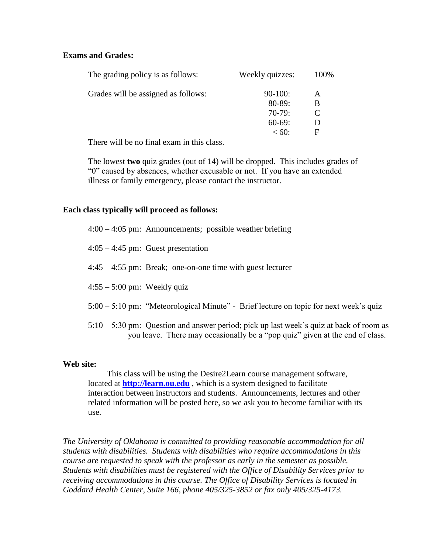## **Exams and Grades:**

| The grading policy is as follows:   | Weekly quizzes: | 100% |
|-------------------------------------|-----------------|------|
| Grades will be assigned as follows: | $90-100$ :      | A    |
|                                     | $80 - 89:$      | B    |
|                                     | $70-79:$        | C    |
|                                     | $60-69:$        | Ð    |
|                                     | $< 60$ :        | F    |
|                                     |                 |      |

There will be no final exam in this class.

The lowest **two** quiz grades (out of 14) will be dropped. This includes grades of "0" caused by absences, whether excusable or not. If you have an extended illness or family emergency, please contact the instructor.

#### **Each class typically will proceed as follows:**

|                               | $4:00 - 4:05$ pm: Announcements; possible weather briefing                                                                                                                |
|-------------------------------|---------------------------------------------------------------------------------------------------------------------------------------------------------------------------|
|                               | $4:05 - 4:45$ pm: Guest presentation                                                                                                                                      |
|                               | $4:45 - 4:55$ pm: Break; one-on-one time with guest lecturer                                                                                                              |
| $4:55 - 5:00$ pm: Weekly quiz |                                                                                                                                                                           |
|                               | $5:00 - 5:10$ pm: "Meteorological Minute" - Brief lecture on topic for next week's quiz                                                                                   |
|                               | $5:10 - 5:30$ pm: Question and answer period; pick up last week's quiz at back of room as<br>you leave. There may occasionally be a "pop quiz" given at the end of class. |

#### **Web site:**

This class will be using the Desire2Learn course management software, located at **[http://learn.ou.edu](http://learn.ou.edu/)** , which is a system designed to facilitate interaction between instructors and students. Announcements, lectures and other related information will be posted here, so we ask you to become familiar with its use.

*The University of Oklahoma is committed to providing reasonable accommodation for all students with disabilities. Students with disabilities who require accommodations in this course are requested to speak with the professor as early in the semester as possible. Students with disabilities must be registered with the Office of Disability Services prior to receiving accommodations in this course. The Office of Disability Services is located in Goddard Health Center, Suite 166, phone 405/325-3852 or fax only 405/325-4173.*